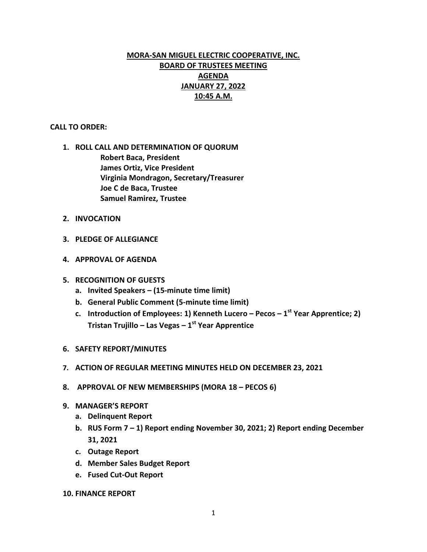# **MORA-SAN MIGUEL ELECTRIC COOPERATIVE, INC. BOARD OF TRUSTEES MEETING AGENDA JANUARY 27, 2022 10:45 A.M.**

## **CALL TO ORDER:**

- **1. ROLL CALL AND DETERMINATION OF QUORUM Robert Baca, President James Ortiz, Vice President Virginia Mondragon, Secretary/Treasurer Joe C de Baca, Trustee Samuel Ramirez, Trustee**
- **2. INVOCATION**
- **3. PLEDGE OF ALLEGIANCE**
- **4. APPROVAL OF AGENDA**
- **5. RECOGNITION OF GUESTS**
	- **a. Invited Speakers – (15-minute time limit)**
	- **b. General Public Comment (5-minute time limit)**
	- **c. Introduction of Employees: 1) Kenneth Lucero – Pecos – 1 st Year Apprentice; 2) Tristan Trujillo – Las Vegas – 1 st Year Apprentice**
- **6. SAFETY REPORT/MINUTES**
- **7. ACTION OF REGULAR MEETING MINUTES HELD ON DECEMBER 23, 2021**
- **8. APPROVAL OF NEW MEMBERSHIPS (MORA 18 – PECOS 6)**
- **9. MANAGER'S REPORT**
	- **a. Delinquent Report**
	- **b. RUS Form 7 – 1) Report ending November 30, 2021; 2) Report ending December 31, 2021**
	- **c. Outage Report**
	- **d. Member Sales Budget Report**
	- **e. Fused Cut-Out Report**
- **10. FINANCE REPORT**